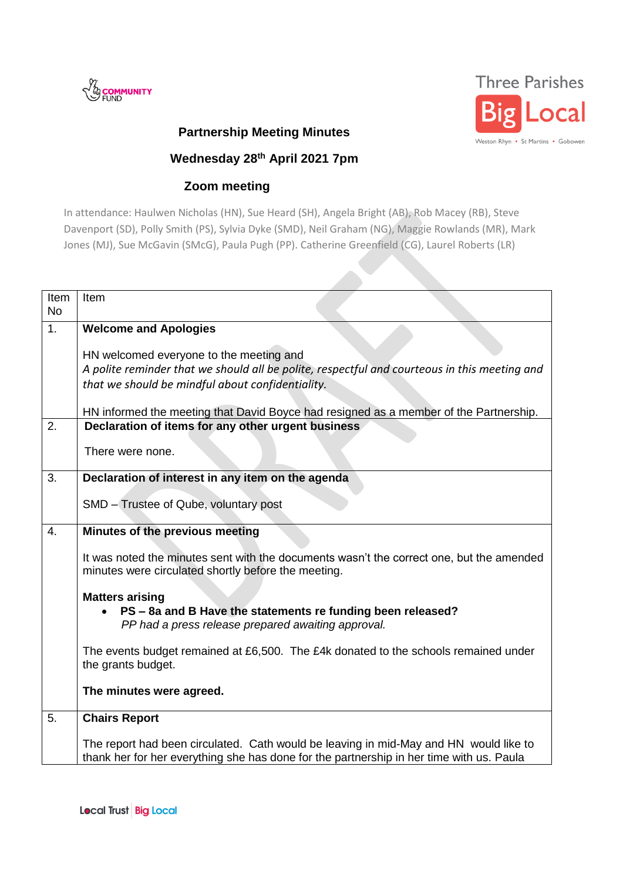



## **Partnership Meeting Minutes**

## **Wednesday 28th April 2021 7pm**

## **Zoom meeting**

In attendance: Haulwen Nicholas (HN), Sue Heard (SH), Angela Bright (AB), Rob Macey (RB), Steve Davenport (SD), Polly Smith (PS), Sylvia Dyke (SMD), Neil Graham (NG), Maggie Rowlands (MR), Mark Jones (MJ), Sue McGavin (SMcG), Paula Pugh (PP). Catherine Greenfield (CG), Laurel Roberts (LR)

| Item<br><b>No</b> | Item                                                                                                                                                                                        |
|-------------------|---------------------------------------------------------------------------------------------------------------------------------------------------------------------------------------------|
| 1.                | <b>Welcome and Apologies</b>                                                                                                                                                                |
|                   | HN welcomed everyone to the meeting and<br>A polite reminder that we should all be polite, respectful and courteous in this meeting and<br>that we should be mindful about confidentiality. |
|                   | HN informed the meeting that David Boyce had resigned as a member of the Partnership.                                                                                                       |
| 2.                | Declaration of items for any other urgent business                                                                                                                                          |
|                   | There were none.                                                                                                                                                                            |
| 3.                | Declaration of interest in any item on the agenda                                                                                                                                           |
|                   | SMD - Trustee of Qube, voluntary post                                                                                                                                                       |
| 4.                | Minutes of the previous meeting                                                                                                                                                             |
|                   | It was noted the minutes sent with the documents wasn't the correct one, but the amended<br>minutes were circulated shortly before the meeting.                                             |
|                   | <b>Matters arising</b>                                                                                                                                                                      |
|                   | PS - 8a and B Have the statements re funding been released?<br>PP had a press release prepared awaiting approval.                                                                           |
|                   | The events budget remained at £6,500. The £4k donated to the schools remained under<br>the grants budget.                                                                                   |
|                   | The minutes were agreed.                                                                                                                                                                    |
| 5.                | <b>Chairs Report</b>                                                                                                                                                                        |
|                   | The report had been circulated. Cath would be leaving in mid-May and HN would like to<br>thank her for her everything she has done for the partnership in her time with us. Paula           |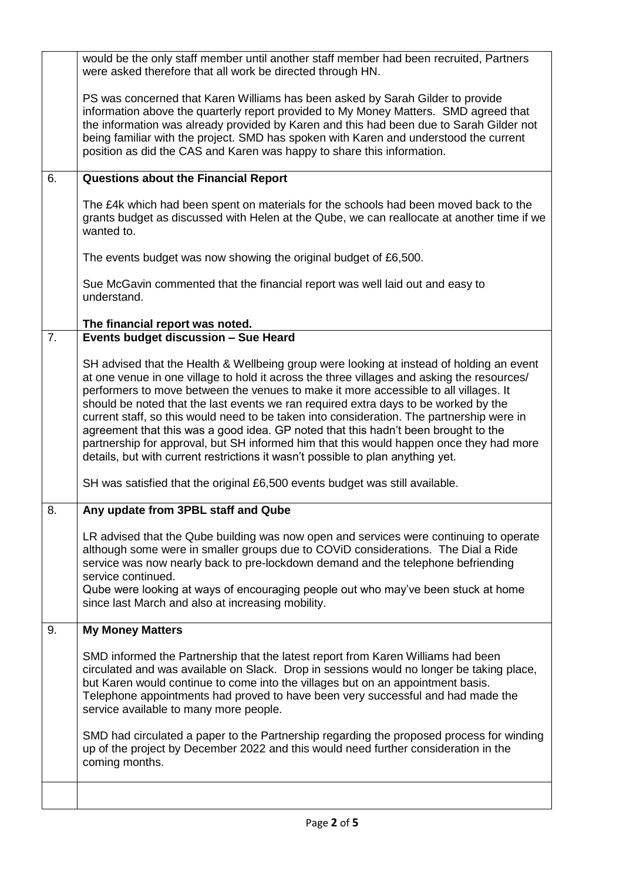|    | would be the only staff member until another staff member had been recruited, Partners<br>were asked therefore that all work be directed through HN.                                                                                                                                                                                                                                                                                                                                                                                                                                                                                                                                                                                   |
|----|----------------------------------------------------------------------------------------------------------------------------------------------------------------------------------------------------------------------------------------------------------------------------------------------------------------------------------------------------------------------------------------------------------------------------------------------------------------------------------------------------------------------------------------------------------------------------------------------------------------------------------------------------------------------------------------------------------------------------------------|
|    | PS was concerned that Karen Williams has been asked by Sarah Gilder to provide<br>information above the quarterly report provided to My Money Matters. SMD agreed that<br>the information was already provided by Karen and this had been due to Sarah Gilder not<br>being familiar with the project. SMD has spoken with Karen and understood the current<br>position as did the CAS and Karen was happy to share this information.                                                                                                                                                                                                                                                                                                   |
| 6. | <b>Questions about the Financial Report</b>                                                                                                                                                                                                                                                                                                                                                                                                                                                                                                                                                                                                                                                                                            |
|    | The £4k which had been spent on materials for the schools had been moved back to the<br>grants budget as discussed with Helen at the Qube, we can reallocate at another time if we<br>wanted to.                                                                                                                                                                                                                                                                                                                                                                                                                                                                                                                                       |
|    | The events budget was now showing the original budget of £6,500.                                                                                                                                                                                                                                                                                                                                                                                                                                                                                                                                                                                                                                                                       |
|    | Sue McGavin commented that the financial report was well laid out and easy to<br>understand.                                                                                                                                                                                                                                                                                                                                                                                                                                                                                                                                                                                                                                           |
|    | The financial report was noted.                                                                                                                                                                                                                                                                                                                                                                                                                                                                                                                                                                                                                                                                                                        |
| 7. | Events budget discussion - Sue Heard                                                                                                                                                                                                                                                                                                                                                                                                                                                                                                                                                                                                                                                                                                   |
|    | SH advised that the Health & Wellbeing group were looking at instead of holding an event<br>at one venue in one village to hold it across the three villages and asking the resources/<br>performers to move between the venues to make it more accessible to all villages. It<br>should be noted that the last events we ran required extra days to be worked by the<br>current staff, so this would need to be taken into consideration. The partnership were in<br>agreement that this was a good idea. GP noted that this hadn't been brought to the<br>partnership for approval, but SH informed him that this would happen once they had more<br>details, but with current restrictions it wasn't possible to plan anything yet. |
|    | SH was satisfied that the original £6,500 events budget was still available.                                                                                                                                                                                                                                                                                                                                                                                                                                                                                                                                                                                                                                                           |
| 8. | Any update from 3PBL staff and Qube                                                                                                                                                                                                                                                                                                                                                                                                                                                                                                                                                                                                                                                                                                    |
|    | LR advised that the Qube building was now open and services were continuing to operate<br>although some were in smaller groups due to COViD considerations. The Dial a Ride<br>service was now nearly back to pre-lockdown demand and the telephone befriending<br>service continued.<br>Qube were looking at ways of encouraging people out who may've been stuck at home<br>since last March and also at increasing mobility.                                                                                                                                                                                                                                                                                                        |
| 9. | <b>My Money Matters</b>                                                                                                                                                                                                                                                                                                                                                                                                                                                                                                                                                                                                                                                                                                                |
|    | SMD informed the Partnership that the latest report from Karen Williams had been<br>circulated and was available on Slack. Drop in sessions would no longer be taking place,<br>but Karen would continue to come into the villages but on an appointment basis.<br>Telephone appointments had proved to have been very successful and had made the<br>service available to many more people.<br>SMD had circulated a paper to the Partnership regarding the proposed process for winding<br>up of the project by December 2022 and this would need further consideration in the                                                                                                                                                        |
|    | coming months.                                                                                                                                                                                                                                                                                                                                                                                                                                                                                                                                                                                                                                                                                                                         |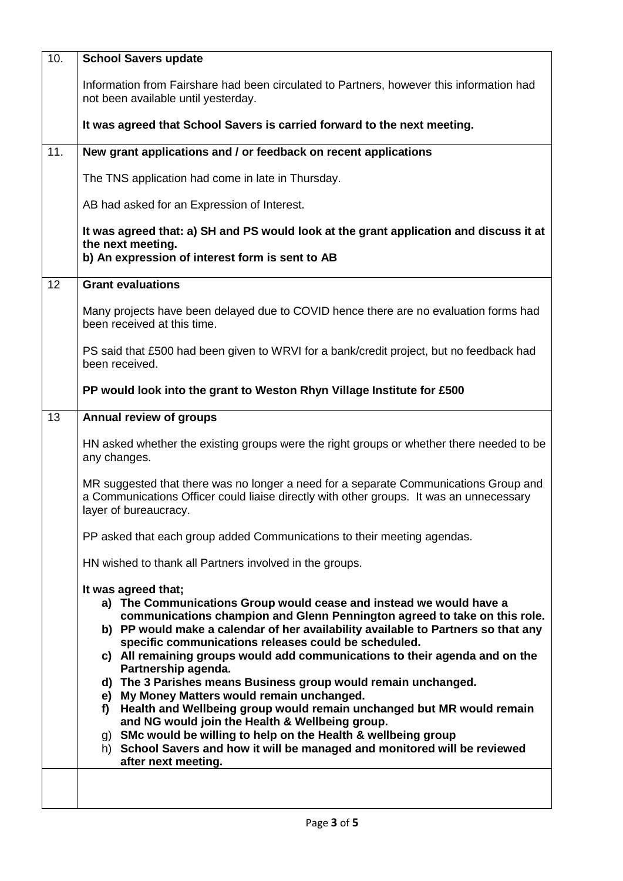| 10. | <b>School Savers update</b>                                                                                                                                                                                                                                                                                                                                                                                                                                                                                                                                                                                                                                                                                                                                                                                                                           |
|-----|-------------------------------------------------------------------------------------------------------------------------------------------------------------------------------------------------------------------------------------------------------------------------------------------------------------------------------------------------------------------------------------------------------------------------------------------------------------------------------------------------------------------------------------------------------------------------------------------------------------------------------------------------------------------------------------------------------------------------------------------------------------------------------------------------------------------------------------------------------|
|     | Information from Fairshare had been circulated to Partners, however this information had<br>not been available until yesterday.                                                                                                                                                                                                                                                                                                                                                                                                                                                                                                                                                                                                                                                                                                                       |
|     | It was agreed that School Savers is carried forward to the next meeting.                                                                                                                                                                                                                                                                                                                                                                                                                                                                                                                                                                                                                                                                                                                                                                              |
| 11. | New grant applications and / or feedback on recent applications                                                                                                                                                                                                                                                                                                                                                                                                                                                                                                                                                                                                                                                                                                                                                                                       |
|     | The TNS application had come in late in Thursday.                                                                                                                                                                                                                                                                                                                                                                                                                                                                                                                                                                                                                                                                                                                                                                                                     |
|     | AB had asked for an Expression of Interest.                                                                                                                                                                                                                                                                                                                                                                                                                                                                                                                                                                                                                                                                                                                                                                                                           |
|     | It was agreed that: a) SH and PS would look at the grant application and discuss it at<br>the next meeting.<br>b) An expression of interest form is sent to AB                                                                                                                                                                                                                                                                                                                                                                                                                                                                                                                                                                                                                                                                                        |
| 12  | <b>Grant evaluations</b>                                                                                                                                                                                                                                                                                                                                                                                                                                                                                                                                                                                                                                                                                                                                                                                                                              |
|     | Many projects have been delayed due to COVID hence there are no evaluation forms had<br>been received at this time.                                                                                                                                                                                                                                                                                                                                                                                                                                                                                                                                                                                                                                                                                                                                   |
|     | PS said that £500 had been given to WRVI for a bank/credit project, but no feedback had<br>been received.                                                                                                                                                                                                                                                                                                                                                                                                                                                                                                                                                                                                                                                                                                                                             |
|     | PP would look into the grant to Weston Rhyn Village Institute for £500                                                                                                                                                                                                                                                                                                                                                                                                                                                                                                                                                                                                                                                                                                                                                                                |
| 13  | <b>Annual review of groups</b>                                                                                                                                                                                                                                                                                                                                                                                                                                                                                                                                                                                                                                                                                                                                                                                                                        |
|     | HN asked whether the existing groups were the right groups or whether there needed to be<br>any changes.                                                                                                                                                                                                                                                                                                                                                                                                                                                                                                                                                                                                                                                                                                                                              |
|     | MR suggested that there was no longer a need for a separate Communications Group and<br>a Communications Officer could liaise directly with other groups. It was an unnecessary<br>layer of bureaucracy.                                                                                                                                                                                                                                                                                                                                                                                                                                                                                                                                                                                                                                              |
|     | PP asked that each group added Communications to their meeting agendas.                                                                                                                                                                                                                                                                                                                                                                                                                                                                                                                                                                                                                                                                                                                                                                               |
|     | HN wished to thank all Partners involved in the groups.                                                                                                                                                                                                                                                                                                                                                                                                                                                                                                                                                                                                                                                                                                                                                                                               |
|     | It was agreed that;<br>a) The Communications Group would cease and instead we would have a<br>communications champion and Glenn Pennington agreed to take on this role.<br>b) PP would make a calendar of her availability available to Partners so that any<br>specific communications releases could be scheduled.<br>c) All remaining groups would add communications to their agenda and on the<br>Partnership agenda.<br>d) The 3 Parishes means Business group would remain unchanged.<br>e) My Money Matters would remain unchanged.<br>Health and Wellbeing group would remain unchanged but MR would remain<br>f)<br>and NG would join the Health & Wellbeing group.<br>g) SMc would be willing to help on the Health & wellbeing group<br>h) School Savers and how it will be managed and monitored will be reviewed<br>after next meeting. |
|     |                                                                                                                                                                                                                                                                                                                                                                                                                                                                                                                                                                                                                                                                                                                                                                                                                                                       |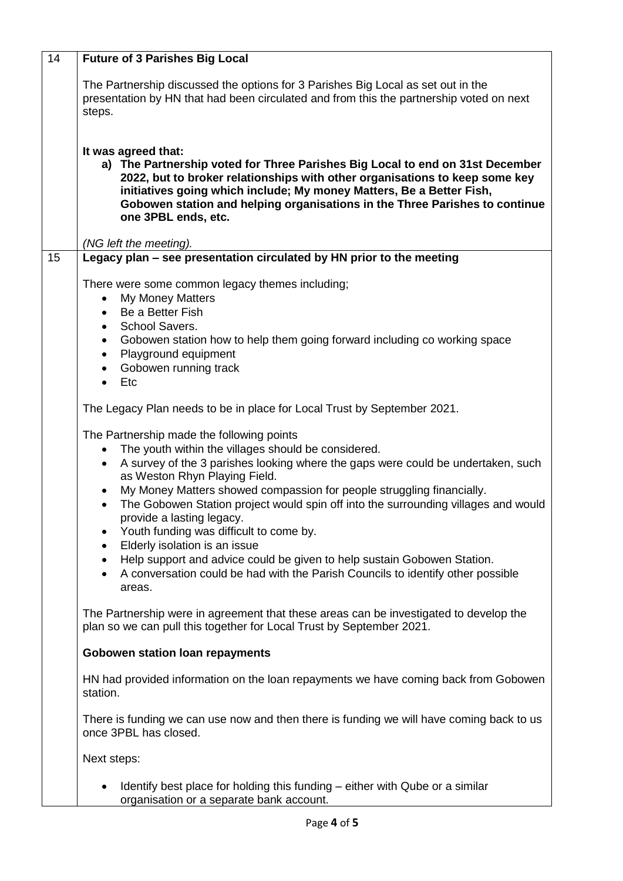| 14 | <b>Future of 3 Parishes Big Local</b>                                                                                                                                                                                                                                                                                                                                                                                                                                                                                                                                                                                                                                                                |
|----|------------------------------------------------------------------------------------------------------------------------------------------------------------------------------------------------------------------------------------------------------------------------------------------------------------------------------------------------------------------------------------------------------------------------------------------------------------------------------------------------------------------------------------------------------------------------------------------------------------------------------------------------------------------------------------------------------|
|    | The Partnership discussed the options for 3 Parishes Big Local as set out in the<br>presentation by HN that had been circulated and from this the partnership voted on next<br>steps.                                                                                                                                                                                                                                                                                                                                                                                                                                                                                                                |
|    | It was agreed that:<br>a) The Partnership voted for Three Parishes Big Local to end on 31st December<br>2022, but to broker relationships with other organisations to keep some key<br>initiatives going which include; My money Matters, Be a Better Fish,<br>Gobowen station and helping organisations in the Three Parishes to continue<br>one 3PBL ends, etc.<br>(NG left the meeting).                                                                                                                                                                                                                                                                                                          |
| 15 | Legacy plan - see presentation circulated by HN prior to the meeting                                                                                                                                                                                                                                                                                                                                                                                                                                                                                                                                                                                                                                 |
|    | There were some common legacy themes including;<br><b>My Money Matters</b><br>Be a Better Fish<br>$\bullet$<br>School Savers.<br>$\bullet$<br>Gobowen station how to help them going forward including co working space<br>$\bullet$<br>Playground equipment<br>$\bullet$<br>Gobowen running track<br>$\bullet$<br>Etc<br>$\bullet$                                                                                                                                                                                                                                                                                                                                                                  |
|    | The Legacy Plan needs to be in place for Local Trust by September 2021.                                                                                                                                                                                                                                                                                                                                                                                                                                                                                                                                                                                                                              |
|    | The Partnership made the following points<br>The youth within the villages should be considered.<br>A survey of the 3 parishes looking where the gaps were could be undertaken, such<br>$\bullet$<br>as Weston Rhyn Playing Field.<br>My Money Matters showed compassion for people struggling financially.<br>$\bullet$<br>The Gobowen Station project would spin off into the surrounding villages and would<br>provide a lasting legacy.<br>Youth funding was difficult to come by.<br>Elderly isolation is an issue<br>Help support and advice could be given to help sustain Gobowen Station.<br>٠<br>A conversation could be had with the Parish Councils to identify other possible<br>areas. |
|    | The Partnership were in agreement that these areas can be investigated to develop the<br>plan so we can pull this together for Local Trust by September 2021.                                                                                                                                                                                                                                                                                                                                                                                                                                                                                                                                        |
|    | <b>Gobowen station loan repayments</b>                                                                                                                                                                                                                                                                                                                                                                                                                                                                                                                                                                                                                                                               |
|    | HN had provided information on the loan repayments we have coming back from Gobowen<br>station.                                                                                                                                                                                                                                                                                                                                                                                                                                                                                                                                                                                                      |
|    | There is funding we can use now and then there is funding we will have coming back to us<br>once 3PBL has closed.                                                                                                                                                                                                                                                                                                                                                                                                                                                                                                                                                                                    |
|    | Next steps:                                                                                                                                                                                                                                                                                                                                                                                                                                                                                                                                                                                                                                                                                          |
|    | Identify best place for holding this funding – either with Qube or a similar<br>organisation or a separate bank account.                                                                                                                                                                                                                                                                                                                                                                                                                                                                                                                                                                             |